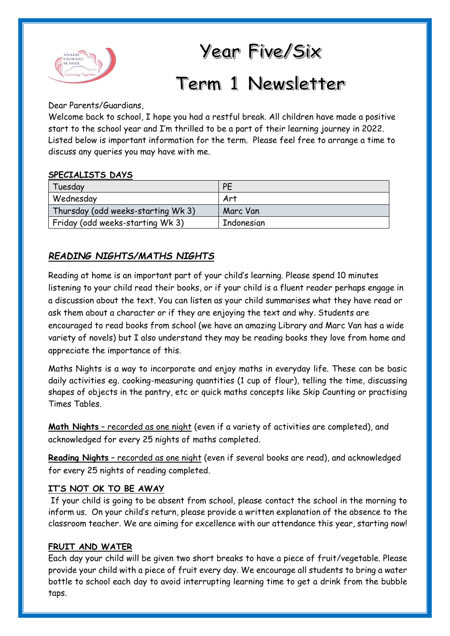

## Year Five/Six

# Term 1 Newsletter

Dear Parents/Guardians,

Welcome back to school, I hope you had a restful break. All children have made a positive start to the school year and I'm thrilled to be a part of their learning journey in 2022. Listed below is important information for the term. Please feel free to arrange a time to discuss any queries you may have with me.

#### **SPECIALISTS DAYS**

| Tuesday                            | <b>PE</b>  |
|------------------------------------|------------|
| Wednesday                          | Art        |
| Thursday (odd weeks-starting Wk 3) | Marc Van   |
| Friday (odd weeks-starting Wk 3)   | Indonesian |

### *READING NIGHTS/MATHS NIGHTS*

Reading at home is an important part of your child's learning. Please spend 10 minutes listening to your child read their books, or if your child is a fluent reader perhaps engage in a discussion about the text. You can listen as your child summarises what they have read or ask them about a character or if they are enjoying the text and why. Students are encouraged to read books from school (we have an amazing Library and Marc Van has a wide variety of novels) but I also understand they may be reading books they love from home and appreciate the importance of this.

Maths Nights is a way to incorporate and enjoy maths in everyday life. These can be basic daily activities eg. cooking-measuring quantities (1 cup of flour), telling the time, discussing shapes of objects in the pantry, etc or quick maths concepts like Skip Counting or practising Times Tables.

**Math Nights** – recorded as one night (even if a variety of activities are completed), and acknowledged for every 25 nights of maths completed.

**Reading Nights** – recorded as one night (even if several books are read), and acknowledged for every 25 nights of reading completed.

#### **IT'S NOT OK TO BE AWAY**

If your child is going to be absent from school, please contact the school in the morning to inform us. On your child's return, please provide a written explanation of the absence to the classroom teacher. We are aiming for excellence with our attendance this year, starting now!

#### **FRUIT AND WATER**

Each day your child will be given two short breaks to have a piece of fruit/vegetable. Please provide your child with a piece of fruit every day. We encourage all students to bring a water bottle to school each day to avoid interrupting learning time to get a drink from the bubble taps.